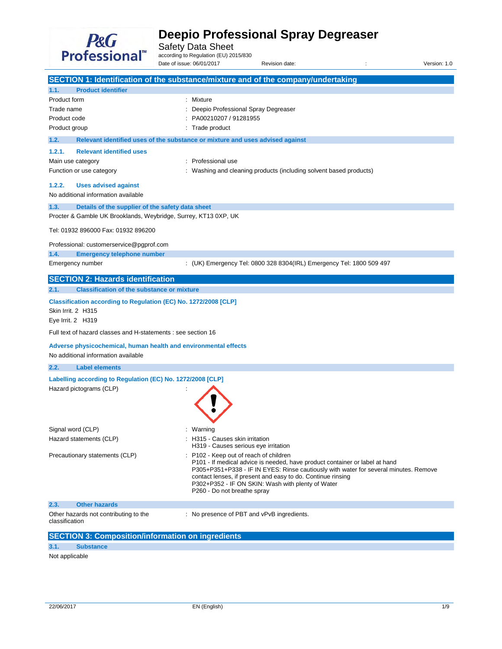

Safety Data Sheet<br>according to Regulation (EU) 2015/830

Date of issue: 06/01/2017 Revision date:  $\blacksquare$ : Version: 1.0

|                                                                                                                                     | SECTION 1: Identification of the substance/mixture and of the company/undertaking                                                                                                                                                                                                                                                                                |
|-------------------------------------------------------------------------------------------------------------------------------------|------------------------------------------------------------------------------------------------------------------------------------------------------------------------------------------------------------------------------------------------------------------------------------------------------------------------------------------------------------------|
| 1.1.<br><b>Product identifier</b>                                                                                                   |                                                                                                                                                                                                                                                                                                                                                                  |
| Product form<br>Trade name<br>Product code<br>Product group                                                                         | Mixture<br>Deepio Professional Spray Degreaser<br>PA00210207 / 91281955<br>: Trade product                                                                                                                                                                                                                                                                       |
| 1.2.                                                                                                                                | Relevant identified uses of the substance or mixture and uses advised against                                                                                                                                                                                                                                                                                    |
| 1.2.1.<br><b>Relevant identified uses</b><br>Main use category<br>Function or use category<br>1.2.2.<br><b>Uses advised against</b> | Professional use<br>Washing and cleaning products (including solvent based products)                                                                                                                                                                                                                                                                             |
| No additional information available                                                                                                 |                                                                                                                                                                                                                                                                                                                                                                  |
| 1.3.<br>Details of the supplier of the safety data sheet<br>Procter & Gamble UK Brooklands, Weybridge, Surrey, KT13 0XP, UK         |                                                                                                                                                                                                                                                                                                                                                                  |
| Tel: 01932 896000 Fax: 01932 896200                                                                                                 |                                                                                                                                                                                                                                                                                                                                                                  |
| Professional: customerservice@pgprof.com                                                                                            |                                                                                                                                                                                                                                                                                                                                                                  |
| <b>Emergency telephone number</b><br>1.4.<br>Emergency number                                                                       | : (UK) Emergency Tel: 0800 328 8304(IRL) Emergency Tel: 1800 509 497                                                                                                                                                                                                                                                                                             |
| <b>SECTION 2: Hazards identification</b>                                                                                            |                                                                                                                                                                                                                                                                                                                                                                  |
| <b>Classification of the substance or mixture</b><br>2.1.                                                                           |                                                                                                                                                                                                                                                                                                                                                                  |
| Classification according to Regulation (EC) No. 1272/2008 [CLP]<br>Skin Irrit. 2 H315<br>Eye Irrit. 2 H319                          |                                                                                                                                                                                                                                                                                                                                                                  |
| Full text of hazard classes and H-statements : see section 16                                                                       |                                                                                                                                                                                                                                                                                                                                                                  |
| Adverse physicochemical, human health and environmental effects<br>No additional information available                              |                                                                                                                                                                                                                                                                                                                                                                  |
| 2.2.<br><b>Label elements</b>                                                                                                       |                                                                                                                                                                                                                                                                                                                                                                  |
| Labelling according to Regulation (EC) No. 1272/2008 [CLP]<br>Hazard pictograms (CLP)                                               |                                                                                                                                                                                                                                                                                                                                                                  |
| Signal word (CLP)                                                                                                                   | Warning                                                                                                                                                                                                                                                                                                                                                          |
| Hazard statements (CLP)                                                                                                             | H315 - Causes skin irritation<br>H319 - Causes serious eye irritation                                                                                                                                                                                                                                                                                            |
| Precautionary statements (CLP)                                                                                                      | : P102 - Keep out of reach of children<br>P101 - If medical advice is needed, have product container or label at hand<br>P305+P351+P338 - IF IN EYES: Rinse cautiously with water for several minutes. Remove<br>contact lenses, if present and easy to do. Continue rinsing<br>P302+P352 - IF ON SKIN: Wash with plenty of Water<br>P260 - Do not breathe spray |
| <b>Other hazards</b><br>2.3.                                                                                                        |                                                                                                                                                                                                                                                                                                                                                                  |
| Other hazards not contributing to the<br>classification                                                                             | : No presence of PBT and vPvB ingredients.                                                                                                                                                                                                                                                                                                                       |
| <b>SECTION 3: Composition/information on ingredients</b>                                                                            |                                                                                                                                                                                                                                                                                                                                                                  |

### **3.1. Substance**

Not applicable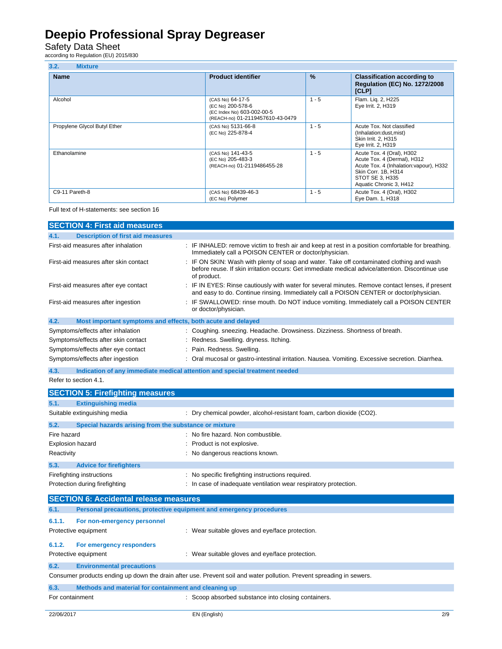### Safety Data Sheet<br>according to Regulation (EU) 2015/830

| 3.2.<br><b>Mixture</b>       |                                                                                                         |               |                                                                                                                                                                          |
|------------------------------|---------------------------------------------------------------------------------------------------------|---------------|--------------------------------------------------------------------------------------------------------------------------------------------------------------------------|
| <b>Name</b>                  | <b>Product identifier</b>                                                                               | $\frac{9}{6}$ | <b>Classification according to</b><br><b>Requlation (EC) No. 1272/2008</b><br>[CLP]                                                                                      |
| Alcohol                      | (CAS No) 64-17-5<br>(EC No) 200-578-6<br>(EC Index No) 603-002-00-5<br>(REACH-no) 01-2119457610-43-0479 | $1 - 5$       | Flam. Lig. 2, H225<br>Eye Irrit. 2, H319                                                                                                                                 |
| Propylene Glycol Butyl Ether | (CAS No) 5131-66-8<br>(EC No) 225-878-4                                                                 | $1 - 5$       | Acute Tox. Not classified<br>(Inhalation:dust, mist)<br>Skin Irrit. 2, H315<br>Eye Irrit. 2, H319                                                                        |
| Ethanolamine                 | (CAS No) 141-43-5<br>(EC No) 205-483-3<br>(REACH-no) 01-2119486455-28                                   | $1 - 5$       | Acute Tox. 4 (Oral), H302<br>Acute Tox. 4 (Dermal), H312<br>Acute Tox. 4 (Inhalation: vapour), H332<br>Skin Corr. 1B, H314<br>STOT SE 3, H335<br>Aquatic Chronic 3, H412 |
| C9-11 Pareth-8               | (CAS No) 68439-46-3<br>(EC No) Polymer                                                                  | $1 - 5$       | Acute Tox. 4 (Oral), H302<br>Eye Dam. 1, H318                                                                                                                            |

Full text of H-statements: see section 16

| <b>SECTION 4: First aid measures</b>                                |                                                                                                                                                                                                            |
|---------------------------------------------------------------------|------------------------------------------------------------------------------------------------------------------------------------------------------------------------------------------------------------|
| <b>Description of first aid measures</b><br>4.1.                    |                                                                                                                                                                                                            |
| First-aid measures after inhalation                                 | : IF INHALED: remove victim to fresh air and keep at rest in a position comfortable for breathing.<br>Immediately call a POISON CENTER or doctor/physician.                                                |
| First-aid measures after skin contact                               | IF ON SKIN: Wash with plenty of soap and water. Take off contaminated clothing and wash<br>before reuse. If skin irritation occurs: Get immediate medical advice/attention. Discontinue use<br>of product. |
| First-aid measures after eye contact                                | IF IN EYES: Rinse cautiously with water for several minutes. Remove contact lenses, if present<br>and easy to do. Continue rinsing. Immediately call a POISON CENTER or doctor/physician.                  |
| First-aid measures after ingestion                                  | IF SWALLOWED: rinse mouth. Do NOT induce vomiting. Immediately call a POISON CENTER<br>or doctor/physician.                                                                                                |
| 4.2.<br>Most important symptoms and effects, both acute and delayed |                                                                                                                                                                                                            |
| Symptoms/effects after inhalation                                   | : Coughing. sneezing. Headache. Drowsiness. Dizziness. Shortness of breath.                                                                                                                                |
| Symptoms/effects after skin contact                                 | Redness. Swelling. dryness. Itching.                                                                                                                                                                       |
| Symptoms/effects after eye contact                                  | Pain. Redness. Swelling.                                                                                                                                                                                   |
| Symptoms/effects after ingestion                                    | Oral mucosal or gastro-intestinal irritation. Nausea. Vomiting. Excessive secretion. Diarrhea.                                                                                                             |
| 4.3.                                                                | Indication of any immediate medical attention and special treatment needed                                                                                                                                 |
| Refer to section 4.1.                                               |                                                                                                                                                                                                            |
| <b>SECTION 5: Firefighting measures</b>                             |                                                                                                                                                                                                            |
| <b>Extinguishing media</b><br>5.1.                                  |                                                                                                                                                                                                            |
| Suitable extinguishing media                                        | : Dry chemical powder, alcohol-resistant foam, carbon dioxide (CO2).                                                                                                                                       |
| 5.2.<br>Special hazards arising from the substance or mixture       |                                                                                                                                                                                                            |
| Fire hazard                                                         | No fire hazard. Non combustible.                                                                                                                                                                           |
| <b>Explosion hazard</b>                                             | Product is not explosive.                                                                                                                                                                                  |
| Reactivity                                                          | No dangerous reactions known.                                                                                                                                                                              |
| 5.3.<br><b>Advice for firefighters</b>                              |                                                                                                                                                                                                            |
|                                                                     |                                                                                                                                                                                                            |

### Firefighting instructions : No specific firefighting instructions required. Protection during firefighting **interest in case of inadequate ventilation wear respiratory protection.**

|                 | <b>SECTION 6: Accidental release measures</b>                       |                                                                                                                      |
|-----------------|---------------------------------------------------------------------|----------------------------------------------------------------------------------------------------------------------|
| 6.1.            | Personal precautions, protective equipment and emergency procedures |                                                                                                                      |
| 6.1.1.          | For non-emergency personnel<br>Protective equipment                 | : Wear suitable gloves and eye/face protection.                                                                      |
| 6.1.2.          | For emergency responders<br>Protective equipment                    | : Wear suitable gloves and eye/face protection.                                                                      |
| 6.2.            | <b>Environmental precautions</b>                                    |                                                                                                                      |
|                 |                                                                     | Consumer products ending up down the drain after use. Prevent soil and water pollution. Prevent spreading in sewers. |
| 6.3.            | Methods and material for containment and cleaning up                |                                                                                                                      |
| For containment |                                                                     | : Scoop absorbed substance into closing containers.                                                                  |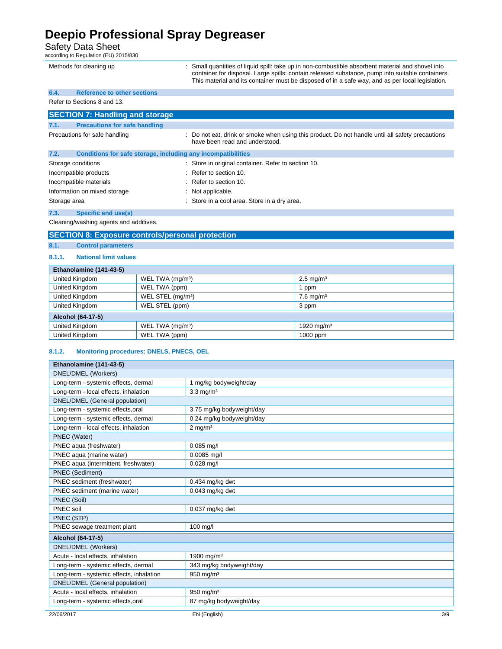### Safety Data Sheet<br>according to Regulation (EU) 2015/830

|              | according to regulation (EO) 2019/050                        |                                                                                                                                                                                                                                                                                                         |
|--------------|--------------------------------------------------------------|---------------------------------------------------------------------------------------------------------------------------------------------------------------------------------------------------------------------------------------------------------------------------------------------------------|
|              | Methods for cleaning up                                      | Small quantities of liquid spill: take up in non-combustible absorbent material and shovel into<br>container for disposal. Large spills: contain released substance, pump into suitable containers.<br>This material and its container must be disposed of in a safe way, and as per local legislation. |
| 6.4.         | <b>Reference to other sections</b>                           |                                                                                                                                                                                                                                                                                                         |
|              | Refer to Sections 8 and 13.                                  |                                                                                                                                                                                                                                                                                                         |
|              | <b>SECTION 7: Handling and storage</b>                       |                                                                                                                                                                                                                                                                                                         |
| 7.1.         | <b>Precautions for safe handling</b>                         |                                                                                                                                                                                                                                                                                                         |
|              | Precautions for safe handling                                | : Do not eat, drink or smoke when using this product. Do not handle until all safety precautions<br>have been read and understood.                                                                                                                                                                      |
| 7.2.         | Conditions for safe storage, including any incompatibilities |                                                                                                                                                                                                                                                                                                         |
|              | Storage conditions                                           | : Store in original container. Refer to section 10.                                                                                                                                                                                                                                                     |
|              | Incompatible products                                        | Refer to section 10.                                                                                                                                                                                                                                                                                    |
|              | Incompatible materials                                       | $:$ Refer to section 10.                                                                                                                                                                                                                                                                                |
|              | Information on mixed storage                                 | : Not applicable.                                                                                                                                                                                                                                                                                       |
| Storage area |                                                              | : Store in a cool area. Store in a dry area.                                                                                                                                                                                                                                                            |

**7.3. Specific end use(s)** 

Cleaning/washing agents and additives.

#### **SECTION 8: Exposure controls/personal protection**

#### **8.1. Control parameters**

#### **8.1.1. National limit values**

| Ethanolamine (141-43-5) |                               |                         |
|-------------------------|-------------------------------|-------------------------|
| United Kingdom          | WEL TWA (mg/m <sup>3</sup> )  | $2.5 \,\mathrm{mq/m^3}$ |
| United Kingdom          | WEL TWA (ppm)                 | ppm                     |
| United Kingdom          | WEL STEL (mg/m <sup>3</sup> ) | $7.6 \,\mathrm{mq/m^3}$ |
| United Kingdom          | WEL STEL (ppm)                | 3 ppm                   |
| Alcohol (64-17-5)       |                               |                         |
| United Kingdom          | WEL TWA (mg/m <sup>3</sup> )  | 1920 mg/m $3$           |
| United Kingdom          | WEL TWA (ppm)                 | 1000 ppm                |

#### **8.1.2. Monitoring procedures: DNELS, PNECS, OEL**

| Ethanolamine (141-43-5)                  |                           |
|------------------------------------------|---------------------------|
| DNEL/DMEL (Workers)                      |                           |
| Long-term - systemic effects, dermal     | 1 mg/kg bodyweight/day    |
| Long-term - local effects, inhalation    | $3.3 \text{ mg/m}^3$      |
| DNEL/DMEL (General population)           |                           |
| Long-term - systemic effects, oral       | 3.75 mg/kg bodyweight/day |
| Long-term - systemic effects, dermal     | 0.24 mg/kg bodyweight/day |
| Long-term - local effects, inhalation    | $2 \text{ mg/m}^3$        |
| PNEC (Water)                             |                           |
| PNEC aqua (freshwater)                   | $0.085$ mg/l              |
| PNEC aqua (marine water)                 | $0.0085$ mg/l             |
| PNEC aqua (intermittent, freshwater)     | $0.028$ mg/l              |
| PNEC (Sediment)                          |                           |
| PNEC sediment (freshwater)               | $0.434$ mg/kg dwt         |
| PNEC sediment (marine water)             | 0.043 mg/kg dwt           |
| PNEC (Soil)                              |                           |
| PNEC soil                                | 0.037 mg/kg dwt           |
| PNEC (STP)                               |                           |
| PNEC sewage treatment plant              | 100 mg/l                  |
| Alcohol (64-17-5)                        |                           |
| DNEL/DMEL (Workers)                      |                           |
| Acute - local effects, inhalation        | 1900 mg/m <sup>3</sup>    |
| Long-term - systemic effects, dermal     | 343 mg/kg bodyweight/day  |
| Long-term - systemic effects, inhalation | $950$ mg/m <sup>3</sup>   |
| DNEL/DMEL (General population)           |                           |
| Acute - local effects, inhalation        | 950 mg/m $3$              |
| Long-term - systemic effects, oral       | 87 mg/kg bodyweight/day   |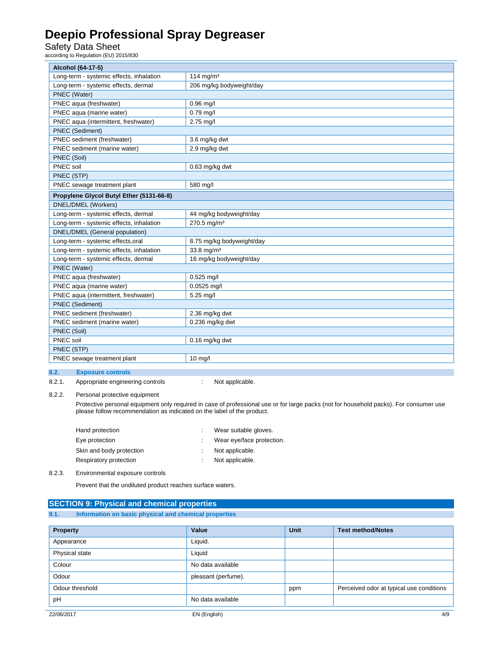### Safety Data Sheet<br>according to Regulation (EU) 2015/830

| Alcohol (64-17-5)                        |                           |
|------------------------------------------|---------------------------|
| Long-term - systemic effects, inhalation | 114 mg/m $3$              |
| Long-term - systemic effects, dermal     | 206 mg/kg bodyweight/day  |
| PNEC (Water)                             |                           |
| PNEC aqua (freshwater)                   | $0.96$ mg/l               |
| PNEC aqua (marine water)                 | $0.79$ mg/l               |
| PNEC aqua (intermittent, freshwater)     | $2.75$ mg/l               |
| PNEC (Sediment)                          |                           |
| PNEC sediment (freshwater)               | 3.6 mg/kg dwt             |
| PNEC sediment (marine water)             | 2.9 mg/kg dwt             |
| PNEC (Soil)                              |                           |
| PNEC soil                                | 0.63 mg/kg dwt            |
| PNEC (STP)                               |                           |
| PNEC sewage treatment plant              | 580 mg/l                  |
| Propylene Glycol Butyl Ether (5131-66-8) |                           |
| DNEL/DMEL (Workers)                      |                           |
| Long-term - systemic effects, dermal     | 44 mg/kg bodyweight/day   |
| Long-term - systemic effects, inhalation | 270.5 mg/m <sup>3</sup>   |
| DNEL/DMEL (General population)           |                           |
| Long-term - systemic effects, oral       | 8.75 mg/kg bodyweight/day |
| Long-term - systemic effects, inhalation | 33.8 mg/m <sup>3</sup>    |
| Long-term - systemic effects, dermal     | 16 mg/kg bodyweight/day   |
| PNEC (Water)                             |                           |
| PNEC aqua (freshwater)                   | $0.525$ mg/l              |
| PNEC aqua (marine water)                 | $0.0525$ mg/l             |
| PNEC aqua (intermittent, freshwater)     | 5.25 mg/l                 |
| PNEC (Sediment)                          |                           |
| PNEC sediment (freshwater)               | 2.36 mg/kg dwt            |
| PNEC sediment (marine water)             | $0.236$ mg/kg dwt         |
| PNEC (Soil)                              |                           |
| PNEC soil                                | 0.16 mg/kg dwt            |
| PNEC (STP)                               |                           |
| PNEC sewage treatment plant              | 10 mg/l                   |

#### **8.2. Exposure controls**

8.2.1. Appropriate engineering controls : Not applicable.

8.2.2. Personal protective equipment

 Protective personal equipment only required in case of professional use or for large packs (not for household packs). For consumer use please follow recommendation as indicated on the label of the product.

| Hand protection          | Wear suitable gloves.     |
|--------------------------|---------------------------|
| Eye protection           | Wear eye/face protection. |
| Skin and body protection | Not applicable.           |
| Respiratory protection   | Not applicable.           |

8.2.3. Environmental exposure controls

Prevent that the undiluted product reaches surface waters.

Colour No data available Odour pleasant (perfume).

pH No data available

|                 | <b>SECTION 9: Physical and chemical properties</b>    |         |      |                          |
|-----------------|-------------------------------------------------------|---------|------|--------------------------|
| 9.1.            | Information on basic physical and chemical properties |         |      |                          |
|                 |                                                       |         |      |                          |
| <b>Property</b> |                                                       | Value   | Unit | <b>Test method/Notes</b> |
| Appearance      |                                                       | Liauid. |      |                          |
| Physical state  |                                                       | Liquid  |      |                          |

Odour threshold **ppm** Perceived odor at typical use conditions **Perceived odor at typical use conditions**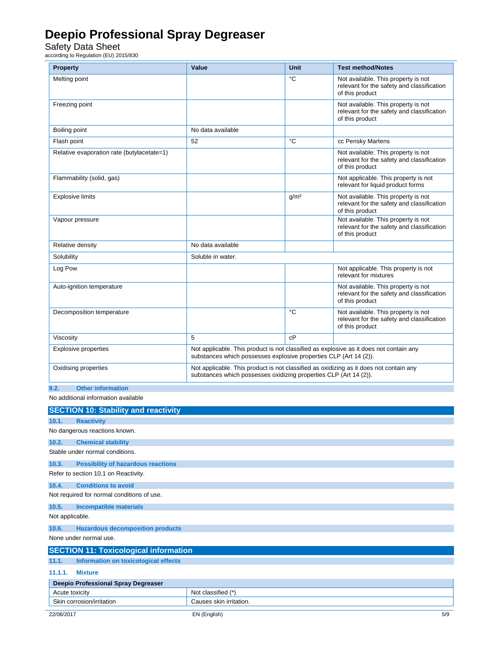Safety Data Sheet<br>according to Regulation (EU) 2015/830

| <b>Property</b>                                           | Value                                                                                                                                                       | Unit             | <b>Test method/Notes</b>                                                                             |
|-----------------------------------------------------------|-------------------------------------------------------------------------------------------------------------------------------------------------------------|------------------|------------------------------------------------------------------------------------------------------|
| Melting point                                             |                                                                                                                                                             | °C               | Not available. This property is not<br>relevant for the safety and classification<br>of this product |
| Freezing point                                            |                                                                                                                                                             |                  | Not available. This property is not<br>relevant for the safety and classification<br>of this product |
| Boiling point                                             | No data available                                                                                                                                           |                  |                                                                                                      |
| Flash point                                               | 52                                                                                                                                                          | °C               | cc Pensky Martens                                                                                    |
| Relative evaporation rate (butylacetate=1)                |                                                                                                                                                             |                  | Not available. This property is not<br>relevant for the safety and classification<br>of this product |
| Flammability (solid, gas)                                 |                                                                                                                                                             |                  | Not applicable. This property is not<br>relevant for liquid product forms                            |
| <b>Explosive limits</b>                                   |                                                                                                                                                             | g/m <sup>3</sup> | Not available. This property is not<br>relevant for the safety and classification<br>of this product |
| Vapour pressure                                           |                                                                                                                                                             |                  | Not available. This property is not<br>relevant for the safety and classification<br>of this product |
| Relative density                                          | No data available                                                                                                                                           |                  |                                                                                                      |
| Solubility                                                | Soluble in water.                                                                                                                                           |                  |                                                                                                      |
| Log Pow                                                   |                                                                                                                                                             |                  | Not applicable. This property is not<br>relevant for mixtures                                        |
| Auto-ignition temperature                                 |                                                                                                                                                             |                  | Not available. This property is not<br>relevant for the safety and classification<br>of this product |
| Decomposition temperature                                 |                                                                                                                                                             | $^{\circ}$ C     | Not available. This property is not<br>relevant for the safety and classification<br>of this product |
| Viscosity                                                 | 5                                                                                                                                                           | cP               |                                                                                                      |
| <b>Explosive properties</b>                               | Not applicable. This product is not classified as explosive as it does not contain any<br>substances which possesses explosive properties CLP (Art 14 (2)). |                  |                                                                                                      |
| Oxidising properties                                      | Not applicable. This product is not classified as oxidizing as it does not contain any<br>substances which possesses oxidizing properties CLP (Art 14 (2)). |                  |                                                                                                      |
| <b>Other information</b><br>9.2.                          |                                                                                                                                                             |                  |                                                                                                      |
| No additional information available                       |                                                                                                                                                             |                  |                                                                                                      |
| <b>SECTION 10: Stability and reactivity</b>               |                                                                                                                                                             |                  |                                                                                                      |
| 10.1.<br><b>Reactivity</b>                                |                                                                                                                                                             |                  |                                                                                                      |
| No dangerous reactions known.                             |                                                                                                                                                             |                  |                                                                                                      |
| 10.2.<br><b>Chemical stability</b>                        |                                                                                                                                                             |                  |                                                                                                      |
| Stable under normal conditions.                           |                                                                                                                                                             |                  |                                                                                                      |
| 10.3.<br><b>Possibility of hazardous reactions</b>        |                                                                                                                                                             |                  |                                                                                                      |
| Refer to section 10.1 on Reactivity.                      |                                                                                                                                                             |                  |                                                                                                      |
| <b>Conditions to avoid</b><br>10.4.                       |                                                                                                                                                             |                  |                                                                                                      |
| Not required for normal conditions of use.                |                                                                                                                                                             |                  |                                                                                                      |
| 10.5.<br><b>Incompatible materials</b><br>Not applicable. |                                                                                                                                                             |                  |                                                                                                      |
| 10.6.<br><b>Hazardous decomposition products</b>          |                                                                                                                                                             |                  |                                                                                                      |
| None under normal use.                                    |                                                                                                                                                             |                  |                                                                                                      |
| <b>SECTION 11: Toxicological information</b>              |                                                                                                                                                             |                  |                                                                                                      |
| 11.1.<br>Information on toxicological effects             |                                                                                                                                                             |                  |                                                                                                      |
| 11.1.1.<br><b>Mixture</b>                                 |                                                                                                                                                             |                  |                                                                                                      |
| Deepio Professional Spray Degreaser                       |                                                                                                                                                             |                  |                                                                                                      |
| Acute toxicity                                            | Not classified (*)                                                                                                                                          |                  |                                                                                                      |

| toxicity<br>Acute                 | $\overline{1}$<br>. .<br>classified<br>-NG<br>n |
|-----------------------------------|-------------------------------------------------|
| Ski<br>corrosi<br>sion/irritation | rritation.<br>$\sim$<br><b></b><br>``           |
|                                   |                                                 |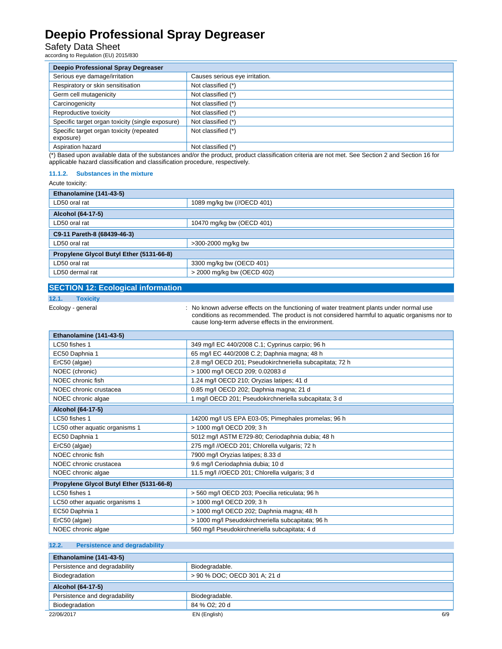### Safety Data Sheet<br>according to Regulation (EU) 2015/830

| <b>Deepio Professional Spray Degreaser</b>            |                                |  |
|-------------------------------------------------------|--------------------------------|--|
| Serious eye damage/irritation                         | Causes serious eye irritation. |  |
| Respiratory or skin sensitisation                     | Not classified (*)             |  |
| Germ cell mutagenicity                                | Not classified (*)             |  |
| Carcinogenicity                                       | Not classified (*)             |  |
| Reproductive toxicity                                 | Not classified (*)             |  |
| Specific target organ toxicity (single exposure)      | Not classified (*)             |  |
| Specific target organ toxicity (repeated<br>exposure) | Not classified (*)             |  |
| Aspiration hazard                                     | Not classified (*)             |  |

(\*) Based upon available data of the substances and/or the product, product classification criteria are not met. See Section 2 and Section 16 for applicable hazard classification and classification procedure, respectively.

#### **11.1.2. Substances in the mixture**

Acute toxicity:

| 1.00101010110117                            |                            |  |  |
|---------------------------------------------|----------------------------|--|--|
| Ethanolamine (141-43-5)                     |                            |  |  |
| 1089 mg/kg bw (//OECD 401)<br>LD50 oral rat |                            |  |  |
| Alcohol (64-17-5)                           |                            |  |  |
| LD50 oral rat                               | 10470 mg/kg bw (OECD 401)  |  |  |
| C9-11 Pareth-8 (68439-46-3)                 |                            |  |  |
| LD50 oral rat                               | >300-2000 mg/kg bw         |  |  |
| Propylene Glycol Butyl Ether (5131-66-8)    |                            |  |  |
| LD50 oral rat                               | 3300 mg/kg bw (OECD 401)   |  |  |
| LD50 dermal rat                             | > 2000 mg/kg bw (OECD 402) |  |  |

#### **SECTION 12: Ecological information**

**12.1. Toxicity** 

Ecology - general **interpretatal intervals on the functioning** of water treatment plants under normal use conditions as recommended. The product is not considered harmful to aquatic organisms nor to cause long-term adverse effects in the environment.

| Ethanolamine (141-43-5)                  |                                                          |  |  |
|------------------------------------------|----------------------------------------------------------|--|--|
| LC50 fishes 1                            | 349 mg/l EC 440/2008 C.1; Cyprinus carpio; 96 h          |  |  |
| EC50 Daphnia 1                           | 65 mg/l EC 440/2008 C.2; Daphnia magna; 48 h             |  |  |
| ErC50 (algae)                            | 2.8 mg/l OECD 201; Pseudokirchneriella subcapitata; 72 h |  |  |
| NOEC (chronic)                           | > 1000 mg/l OECD 209; 0.02083 d                          |  |  |
| NOEC chronic fish                        | 1.24 mg/l OECD 210; Oryzias latipes; 41 d                |  |  |
| NOEC chronic crustacea                   | 0.85 mg/l OECD 202; Daphnia magna; 21 d                  |  |  |
| NOEC chronic algae                       | 1 mg/l OECD 201; Pseudokirchneriella subcapitata; 3 d    |  |  |
| Alcohol (64-17-5)                        |                                                          |  |  |
| LC50 fishes 1                            | 14200 mg/l US EPA E03-05; Pimephales promelas; 96 h      |  |  |
| LC50 other aquatic organisms 1           | > 1000 mg/l OECD 209; 3 h                                |  |  |
| EC50 Daphnia 1                           | 5012 mg/l ASTM E729-80; Ceriodaphnia dubia; 48 h         |  |  |
| ErC50 (algae)                            | 275 mg/l //OECD 201; Chlorella vulgaris; 72 h            |  |  |
| NOEC chronic fish                        | 7900 mg/l Oryzias latipes; 8.33 d                        |  |  |
| NOEC chronic crustacea                   | 9.6 mg/l Ceriodaphnia dubia; 10 d                        |  |  |
| NOEC chronic algae                       | 11.5 mg/l //OECD 201; Chlorella vulgaris; 3 d            |  |  |
| Propylene Glycol Butyl Ether (5131-66-8) |                                                          |  |  |
| LC50 fishes 1                            | > 560 mg/l OECD 203; Poecilia reticulata; 96 h           |  |  |
| LC50 other aquatic organisms 1           | > 1000 mg/l OECD 209; 3 h                                |  |  |
| EC50 Daphnia 1                           | > 1000 mg/l OECD 202; Daphnia magna; 48 h                |  |  |
| ErC50 (algae)                            | > 1000 mg/l Pseudokirchneriella subcapitata; 96 h        |  |  |
| NOEC chronic algae                       | 560 mg/l Pseudokirchneriella subcapitata; 4 d            |  |  |

#### **12.2. Persistence and degradability**

| Ethanolamine (141-43-5)       |                              |     |
|-------------------------------|------------------------------|-----|
| Persistence and degradability | Biodegradable.               |     |
| Biodegradation                | > 90 % DOC; OECD 301 A; 21 d |     |
| Alcohol (64-17-5)             |                              |     |
| Persistence and degradability | Biodegradable.               |     |
| Biodegradation                | 84 % O2; 20 d                |     |
| 22/06/2017                    | EN (English)                 | 6/9 |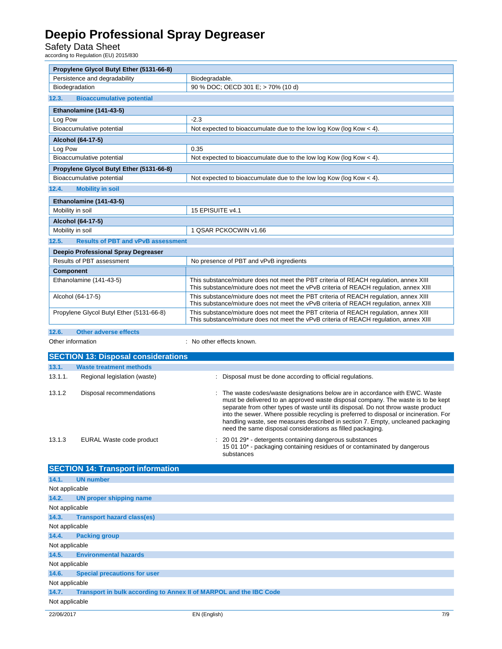Safety Data Sheet<br>according to Regulation (EU) 2015/830

| Propylene Glycol Butyl Ether (5131-66-8)                                                           |                                                                                                    |                                                                                                                                                                                                                                                                                                                                                                                                                                                                                                  |  |  |  |
|----------------------------------------------------------------------------------------------------|----------------------------------------------------------------------------------------------------|--------------------------------------------------------------------------------------------------------------------------------------------------------------------------------------------------------------------------------------------------------------------------------------------------------------------------------------------------------------------------------------------------------------------------------------------------------------------------------------------------|--|--|--|
|                                                                                                    | Persistence and degradability<br>Biodegradable.                                                    |                                                                                                                                                                                                                                                                                                                                                                                                                                                                                                  |  |  |  |
|                                                                                                    | Biodegradation                                                                                     | 90 % DOC; OECD 301 E; > 70% (10 d)                                                                                                                                                                                                                                                                                                                                                                                                                                                               |  |  |  |
| 12.3.                                                                                              | <b>Bioaccumulative potential</b>                                                                   |                                                                                                                                                                                                                                                                                                                                                                                                                                                                                                  |  |  |  |
|                                                                                                    | Ethanolamine (141-43-5)                                                                            |                                                                                                                                                                                                                                                                                                                                                                                                                                                                                                  |  |  |  |
| Log Pow                                                                                            |                                                                                                    | $-2.3$                                                                                                                                                                                                                                                                                                                                                                                                                                                                                           |  |  |  |
| Bioaccumulative potential<br>Not expected to bioaccumulate due to the low log Kow (log Kow $<$ 4). |                                                                                                    |                                                                                                                                                                                                                                                                                                                                                                                                                                                                                                  |  |  |  |
|                                                                                                    | Alcohol (64-17-5)                                                                                  |                                                                                                                                                                                                                                                                                                                                                                                                                                                                                                  |  |  |  |
| Log Pow<br>0.35                                                                                    |                                                                                                    |                                                                                                                                                                                                                                                                                                                                                                                                                                                                                                  |  |  |  |
| Bioaccumulative potential<br>Not expected to bioaccumulate due to the low log Kow (log Kow $<$ 4). |                                                                                                    |                                                                                                                                                                                                                                                                                                                                                                                                                                                                                                  |  |  |  |
| Propylene Glycol Butyl Ether (5131-66-8)                                                           |                                                                                                    |                                                                                                                                                                                                                                                                                                                                                                                                                                                                                                  |  |  |  |
|                                                                                                    | Bioaccumulative potential<br>Not expected to bioaccumulate due to the low log Kow (log Kow $<$ 4). |                                                                                                                                                                                                                                                                                                                                                                                                                                                                                                  |  |  |  |
| 12.4.                                                                                              | <b>Mobility in soil</b>                                                                            |                                                                                                                                                                                                                                                                                                                                                                                                                                                                                                  |  |  |  |
|                                                                                                    | Ethanolamine (141-43-5)                                                                            |                                                                                                                                                                                                                                                                                                                                                                                                                                                                                                  |  |  |  |
| Mobility in soil                                                                                   |                                                                                                    | 15 EPISUITE v4.1                                                                                                                                                                                                                                                                                                                                                                                                                                                                                 |  |  |  |
|                                                                                                    | Alcohol (64-17-5)                                                                                  |                                                                                                                                                                                                                                                                                                                                                                                                                                                                                                  |  |  |  |
| Mobility in soil                                                                                   |                                                                                                    | 1 QSAR PCKOCWIN v1.66                                                                                                                                                                                                                                                                                                                                                                                                                                                                            |  |  |  |
| 12.5.                                                                                              | <b>Results of PBT and vPvB assessment</b>                                                          |                                                                                                                                                                                                                                                                                                                                                                                                                                                                                                  |  |  |  |
|                                                                                                    | Deepio Professional Spray Degreaser                                                                |                                                                                                                                                                                                                                                                                                                                                                                                                                                                                                  |  |  |  |
|                                                                                                    | Results of PBT assessment                                                                          | No presence of PBT and vPvB ingredients                                                                                                                                                                                                                                                                                                                                                                                                                                                          |  |  |  |
| <b>Component</b>                                                                                   |                                                                                                    |                                                                                                                                                                                                                                                                                                                                                                                                                                                                                                  |  |  |  |
|                                                                                                    | Ethanolamine (141-43-5)                                                                            | This substance/mixture does not meet the PBT criteria of REACH regulation, annex XIII<br>This substance/mixture does not meet the vPvB criteria of REACH regulation, annex XIII                                                                                                                                                                                                                                                                                                                  |  |  |  |
|                                                                                                    | Alcohol (64-17-5)                                                                                  | This substance/mixture does not meet the PBT criteria of REACH regulation, annex XIII<br>This substance/mixture does not meet the vPvB criteria of REACH regulation, annex XIII                                                                                                                                                                                                                                                                                                                  |  |  |  |
|                                                                                                    | Propylene Glycol Butyl Ether (5131-66-8)                                                           | This substance/mixture does not meet the PBT criteria of REACH regulation, annex XIII<br>This substance/mixture does not meet the vPvB criteria of REACH regulation, annex XIII                                                                                                                                                                                                                                                                                                                  |  |  |  |
| 12.6.<br><b>Other adverse effects</b>                                                              |                                                                                                    |                                                                                                                                                                                                                                                                                                                                                                                                                                                                                                  |  |  |  |
|                                                                                                    |                                                                                                    |                                                                                                                                                                                                                                                                                                                                                                                                                                                                                                  |  |  |  |
| Other information                                                                                  |                                                                                                    | : No other effects known.                                                                                                                                                                                                                                                                                                                                                                                                                                                                        |  |  |  |
|                                                                                                    | <b>SECTION 13: Disposal considerations</b>                                                         |                                                                                                                                                                                                                                                                                                                                                                                                                                                                                                  |  |  |  |
| 13.1.                                                                                              | <b>Waste treatment methods</b>                                                                     |                                                                                                                                                                                                                                                                                                                                                                                                                                                                                                  |  |  |  |
| 13.1.1.                                                                                            | Regional legislation (waste)                                                                       | Disposal must be done according to official regulations.                                                                                                                                                                                                                                                                                                                                                                                                                                         |  |  |  |
| 13.1.2                                                                                             | Disposal recommendations                                                                           | : The waste codes/waste designations below are in accordance with EWC. Waste<br>must be delivered to an approved waste disposal company. The waste is to be kept<br>separate from other types of waste until its disposal. Do not throw waste product<br>into the sewer. Where possible recycling is preferred to disposal or incineration. For<br>handling waste, see measures described in section 7. Empty, uncleaned packaging<br>need the same disposal considerations as filled packaging. |  |  |  |
| 13.1.3                                                                                             | EURAL Waste code product                                                                           | 20 01 29* - detergents containing dangerous substances<br>15 01 10 <sup>*</sup> - packaging containing residues of or contaminated by dangerous<br>substances                                                                                                                                                                                                                                                                                                                                    |  |  |  |
|                                                                                                    | <b>SECTION 14: Transport information</b>                                                           |                                                                                                                                                                                                                                                                                                                                                                                                                                                                                                  |  |  |  |
| 14.1.                                                                                              | <b>UN number</b>                                                                                   |                                                                                                                                                                                                                                                                                                                                                                                                                                                                                                  |  |  |  |
| Not applicable                                                                                     |                                                                                                    |                                                                                                                                                                                                                                                                                                                                                                                                                                                                                                  |  |  |  |
| 14.2.                                                                                              | UN proper shipping name                                                                            |                                                                                                                                                                                                                                                                                                                                                                                                                                                                                                  |  |  |  |
| Not applicable                                                                                     |                                                                                                    |                                                                                                                                                                                                                                                                                                                                                                                                                                                                                                  |  |  |  |
| 14.3.                                                                                              | <b>Transport hazard class(es)</b>                                                                  |                                                                                                                                                                                                                                                                                                                                                                                                                                                                                                  |  |  |  |
| Not applicable                                                                                     |                                                                                                    |                                                                                                                                                                                                                                                                                                                                                                                                                                                                                                  |  |  |  |
| 14.4.                                                                                              | <b>Packing group</b>                                                                               |                                                                                                                                                                                                                                                                                                                                                                                                                                                                                                  |  |  |  |
| Not applicable                                                                                     |                                                                                                    |                                                                                                                                                                                                                                                                                                                                                                                                                                                                                                  |  |  |  |
| 14.5.                                                                                              | <b>Environmental hazards</b>                                                                       |                                                                                                                                                                                                                                                                                                                                                                                                                                                                                                  |  |  |  |
| Not applicable                                                                                     |                                                                                                    |                                                                                                                                                                                                                                                                                                                                                                                                                                                                                                  |  |  |  |
| 14.6.                                                                                              | <b>Special precautions for user</b>                                                                |                                                                                                                                                                                                                                                                                                                                                                                                                                                                                                  |  |  |  |
| Not applicable                                                                                     |                                                                                                    |                                                                                                                                                                                                                                                                                                                                                                                                                                                                                                  |  |  |  |
| 14.7.<br>Not applicable                                                                            | Transport in bulk according to Annex II of MARPOL and the IBC Code                                 |                                                                                                                                                                                                                                                                                                                                                                                                                                                                                                  |  |  |  |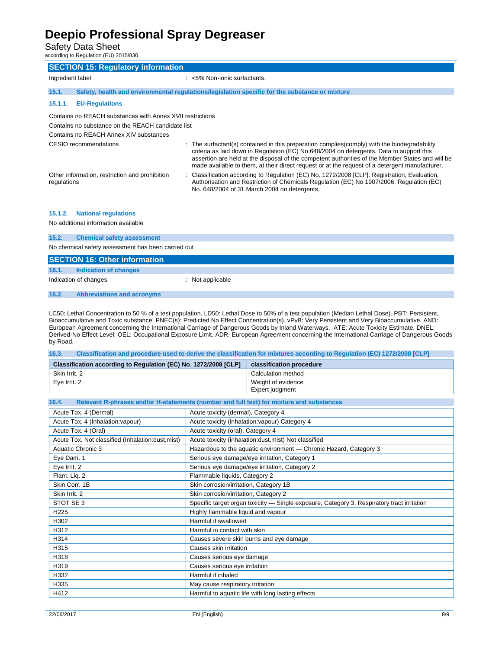Safety Data Sheet

according to Regulation (EU) 2015/830

| <b>SECTION 15: Regulatory information</b>                     |                                                                                                                                                                                                                                                                                                                                                                                                |  |  |
|---------------------------------------------------------------|------------------------------------------------------------------------------------------------------------------------------------------------------------------------------------------------------------------------------------------------------------------------------------------------------------------------------------------------------------------------------------------------|--|--|
| Ingredient label                                              | $:$ <5% Non-ionic surfactants.                                                                                                                                                                                                                                                                                                                                                                 |  |  |
|                                                               |                                                                                                                                                                                                                                                                                                                                                                                                |  |  |
| 15.1.                                                         | Safety, health and environmental regulations/legislation specific for the substance or mixture                                                                                                                                                                                                                                                                                                 |  |  |
| <b>EU-Regulations</b><br>15.1.1.                              |                                                                                                                                                                                                                                                                                                                                                                                                |  |  |
| Contains no REACH substances with Annex XVII restrictions     |                                                                                                                                                                                                                                                                                                                                                                                                |  |  |
| Contains no substance on the REACH candidate list             |                                                                                                                                                                                                                                                                                                                                                                                                |  |  |
| Contains no REACH Annex XIV substances                        |                                                                                                                                                                                                                                                                                                                                                                                                |  |  |
| CESIO recommendations                                         | : The surfactant(s) contained in this preparation complies(comply) with the biodegradability<br>criteria as laid down in Regulation (EC) No.648/2004 on detergents. Data to support this<br>assertion are held at the disposal of the competent authorities of the Member States and will be<br>made available to them, at their direct request or at the request of a detergent manufacturer. |  |  |
| Other information, restriction and prohibition<br>regulations | : Classification according to Regulation (EC) No. 1272/2008 [CLP]. Registration, Evaluation,<br>Authorisation and Restriction of Chemicals Regulation (EC) No 1907/2006. Regulation (EC)<br>No. 648/2004 of 31 March 2004 on detergents.                                                                                                                                                       |  |  |
| <b>National regulations</b><br>15.1.2.                        |                                                                                                                                                                                                                                                                                                                                                                                                |  |  |

No additional information available

| 15.2. | <b>Chemical safety assessment</b>                  |                |  |  |  |
|-------|----------------------------------------------------|----------------|--|--|--|
|       | No chemical safety assessment has been carried out |                |  |  |  |
|       | <b>SECTION 16: Other information</b>               |                |  |  |  |
| 16.1. | Indication of changes                              |                |  |  |  |
|       | Indication of changes                              | Not applicable |  |  |  |

**16.2. Abbreviations and acronyms** 

LC50: Lethal Concentration to 50 % of a test population. LD50: Lethal Dose to 50% of a test population (Median Lethal Dose). PBT: Persistent, Bioaccumulative and Toxic substance. PNEC(s): Predicted No Effect Concentration(s). vPvB: Very Persistent and Very Bioaccumulative. AND: European Agreement concerning the International Carriage of Dangerous Goods by Inland Waterways. ATE: Acute Toxicity Estimate. DNEL: Derived-No Effect Level. OEL: Occupational Exposure Limit. ADR: European Agreement concerning the International Carriage of Dangerous Goods by Road.

| Classification and procedure used to derive the classification for mixtures according to Regulation (EC) 1272/2008 [CLP]<br>16.3. |                                                                                            |                                                                   |  |
|-----------------------------------------------------------------------------------------------------------------------------------|--------------------------------------------------------------------------------------------|-------------------------------------------------------------------|--|
| Classification according to Regulation (EC) No. 1272/2008 [CLP]                                                                   |                                                                                            | classification procedure                                          |  |
| Skin Irrit, 2                                                                                                                     |                                                                                            | Calculation method                                                |  |
| Eye Irrit. 2                                                                                                                      |                                                                                            | Weight of evidence<br>Expert judgment                             |  |
| Relevant R-phrases and/or H-statements (number and full text) for mixture and substances<br>16.4.                                 |                                                                                            |                                                                   |  |
| Acute Tox. 4 (Dermal)<br>Acute toxicity (dermal), Category 4                                                                      |                                                                                            |                                                                   |  |
| Acute Tox. 4 (Inhalation: vapour)                                                                                                 |                                                                                            | Acute toxicity (inhalation: vapour) Category 4                    |  |
| Acute toxicity (oral), Category 4<br>Acute Tox. 4 (Oral)                                                                          |                                                                                            |                                                                   |  |
| Acute Tox. Not classified (Inhalation:dust, mist)                                                                                 |                                                                                            | Acute toxicity (inhalation:dust, mist) Not classified             |  |
| Aquatic Chronic 3                                                                                                                 |                                                                                            | Hazardous to the aquatic environment - Chronic Hazard, Category 3 |  |
| Eye Dam. 1                                                                                                                        |                                                                                            | Serious eye damage/eye irritation, Category 1                     |  |
| Eye Irrit. 2                                                                                                                      |                                                                                            | Serious eye damage/eye irritation, Category 2                     |  |
| Flam. Lig. 2                                                                                                                      | Flammable liquids, Category 2                                                              |                                                                   |  |
| Skin Corr. 1B                                                                                                                     | Skin corrosion/irritation, Category 1B                                                     |                                                                   |  |
| Skin Irrit. 2                                                                                                                     | Skin corrosion/irritation, Category 2                                                      |                                                                   |  |
| STOT SE <sub>3</sub>                                                                                                              | Specific target organ toxicity - Single exposure, Category 3, Respiratory tract irritation |                                                                   |  |
| H <sub>225</sub>                                                                                                                  | Highly flammable liquid and vapour                                                         |                                                                   |  |
| H302                                                                                                                              | Harmful if swallowed                                                                       |                                                                   |  |
| H312                                                                                                                              | Harmful in contact with skin                                                               |                                                                   |  |
| H314                                                                                                                              | Causes severe skin burns and eye damage                                                    |                                                                   |  |
| H315                                                                                                                              | Causes skin irritation                                                                     |                                                                   |  |
| H318                                                                                                                              | Causes serious eye damage                                                                  |                                                                   |  |
| H319                                                                                                                              | Causes serious eye irritation                                                              |                                                                   |  |
| H332                                                                                                                              | Harmful if inhaled                                                                         |                                                                   |  |
| H335                                                                                                                              | May cause respiratory irritation                                                           |                                                                   |  |
| H412                                                                                                                              | Harmful to aquatic life with long lasting effects                                          |                                                                   |  |